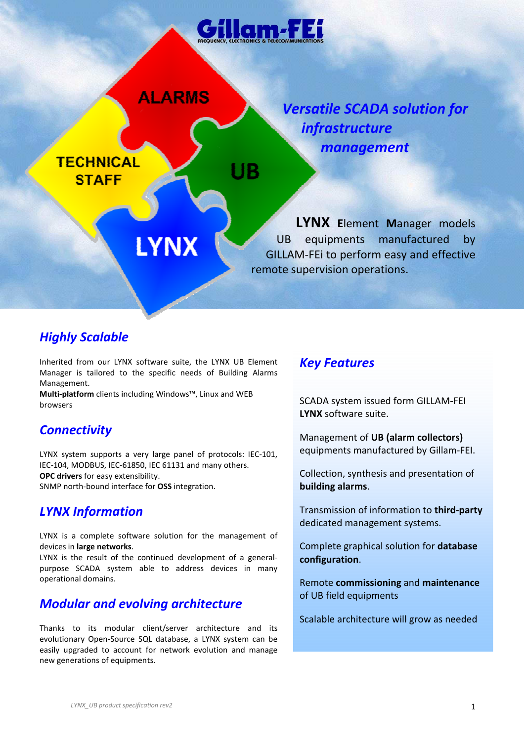

# *Highly Scalable*

Inherited from our LYNX software suite, the LYNX UB Element Manager is tailored to the specific needs of Building Alarms Management.

**Multi-platform** clients including Windows™, Linux and WEB browsers

# *Connectivity*

LYNX system supports a very large panel of protocols: IEC-101, IEC-104, MODBUS, IEC-61850, IEC 61131 and many others. **OPC drivers** for easy extensibility. SNMP north-bound interface for **OSS** integration.

### *LYNX Information*

LYNX is a complete software solution for the management of devices in **large networks**.

LYNX is the result of the continued development of a generalpurpose SCADA system able to address devices in many operational domains.

# *Modular and evolving architecture*

Thanks to its modular client/server architecture and its evolutionary Open-Source SQL database, a LYNX system can be easily upgraded to account for network evolution and manage new generations of equipments.

### *Key Features*

SCADA system issued form GILLAM-FEI **LYNX** software suite.

Management of **UB (alarm collectors)**  equipments manufactured by Gillam-FEI.

Collection, synthesis and presentation of **building alarms**.

Transmission of information to **third-party**  dedicated management systems.

Complete graphical solution for **database configuration**.

Remote **commissioning** and **maintenance** of UB field equipments

Scalable architecture will grow as needed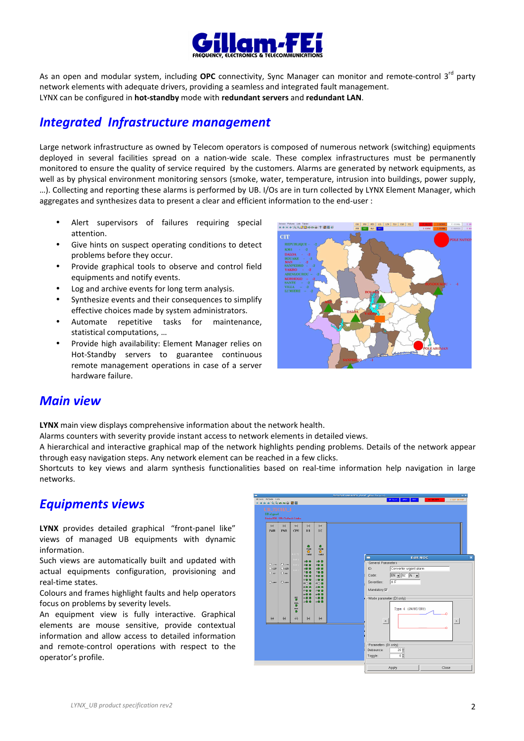

As an open and modular system, including OPC connectivity, Sync Manager can monitor and remote-control 3<sup>rd</sup> party network elements with adequate drivers, providing a seamless and integrated fault management. LYNX can be configured in **hot-standby** mode with **redundant servers** and **redundant LAN**.

## *Integrated Infrastructure management*

Large network infrastructure as owned by Telecom operators is composed of numerous network (switching) equipments deployed in several facilities spread on a nation-wide scale. These complex infrastructures must be permanently monitored to ensure the quality of service required by the customers. Alarms are generated by network equipments, as well as by physical environment monitoring sensors (smoke, water, temperature, intrusion into buildings, power supply, …). Collecting and reporting these alarms is performed by UB. I/Os are in turn collected by LYNX Element Manager, which aggregates and synthesizes data to present a clear and efficient information to the end-user :

- Alert supervisors of failures requiring special attention.
- Give hints on suspect operating conditions to detect problems before they occur.
- Provide graphical tools to observe and control field equipments and notify events.
- Log and archive events for long term analysis.
- Synthesize events and their consequences to simplify effective choices made by system administrators.
- Automate repetitive tasks for maintenance, statistical computations, …
- Provide high availability: Element Manager relies on Hot-Standby servers to guarantee continuous remote management operations in case of a server hardware failure.



### *Main view*

**LYNX** main view displays comprehensive information about the network health.

Alarms counters with severity provide instant access to network elements in detailed views.

A hierarchical and interactive graphical map of the network highlights pending problems. Details of the network appear through easy navigation steps. Any network element can be reached in a few clicks.

Shortcuts to key views and alarm synthesis functionalities based on real-time information help navigation in large networks.

# *Equipments views*

**LYNX** provides detailed graphical "front-panel like" views of managed UB equipments with dynamic information.

Such views are automatically built and updated with actual equipments configuration, provisioning and real-time states.

Colours and frames highlight faults and help operators focus on problems by severity levels.

An equipment view is fully interactive. Graphical elements are mouse sensitive, provide contextual information and allow access to detailed information and remote-control operations with respect to the operator's profile.

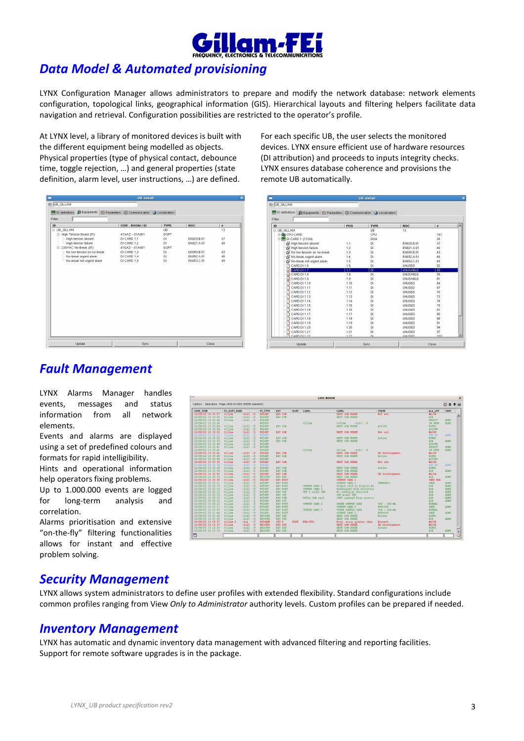

# *Data Model & Automated provisioning*

LYNX Configuration Manager allows administrators to prepare and modify the network database: network elements configuration, topological links, geographical information (GIS). Hierarchical layouts and filtering helpers facilitate data navigation and retrieval. Configuration possibilities are restricted to the operator's profile.

At LYNX level, a library of monitored devices is built with the different equipment being modelled as objects. Physical properties (type of physical contact, debounce time, toggle rejection, …) and general properties (state definition, alarm level, user instructions, …) are defined.

| n<br><b>UB</b> detail                                                                       |                 |             |            |                  |  |
|---------------------------------------------------------------------------------------------|-----------------|-------------|------------|------------------|--|
| ID: UB_GILLAM                                                                               |                 |             |            |                  |  |
| <b>Ed IO definitions</b> Su Equipments <b>(2)</b> Parameters © Communication Q Localization |                 |             |            |                  |  |
|                                                                                             |                 |             |            |                  |  |
| Filter:                                                                                     |                 |             |            |                  |  |
| ID                                                                                          | COW - ROOM / DI | <b>TYPE</b> | <b>NOC</b> | $\boldsymbol{x}$ |  |
| E UB GILLAM                                                                                 |                 | <b>UB</b>   |            | 13               |  |
| + High Tension Board (01)                                                                   | 41GAZ - 01A001  | EQPT        |            |                  |  |
| - High tension absent                                                                       | DI CARD 1,1     | DI          | EN020.B.01 | 37               |  |
| High tension failure                                                                        | DI CARD 1,2     | DI.         | EN021.A.01 | 40               |  |
| E- 230VAC No-Break (01)                                                                     | 41GAZ - 01A001  | EQPT        |            |                  |  |
| - No low tension on no-break                                                                | DI CARD 1,3     | DI          | EN050.B.01 | 43               |  |
| - No-break urgent alarm                                                                     | DI CARD 1.4     | DI.         | EN052.A.01 | 46               |  |
| -- No-break not urgent alarm                                                                | DI CARD 1,5     | DI          | EN053.C.01 | 49               |  |
|                                                                                             |                 |             |            |                  |  |
|                                                                                             |                 |             |            |                  |  |
|                                                                                             |                 |             |            |                  |  |
|                                                                                             |                 |             |            |                  |  |
|                                                                                             |                 |             |            |                  |  |
|                                                                                             |                 |             |            |                  |  |
|                                                                                             |                 |             |            |                  |  |
|                                                                                             |                 |             |            |                  |  |
|                                                                                             |                 |             |            |                  |  |
|                                                                                             |                 |             |            |                  |  |
|                                                                                             |                 |             |            |                  |  |
|                                                                                             |                 |             |            |                  |  |
|                                                                                             |                 |             |            |                  |  |
|                                                                                             |                 |             |            |                  |  |
|                                                                                             |                 |             |            |                  |  |
|                                                                                             |                 |             |            |                  |  |
|                                                                                             |                 |             |            |                  |  |
| Update                                                                                      | Sync            |             | Close      |                  |  |

For each specific UB, the user selects the monitored devices. LYNX ensure efficient use of hardware resources (DI attribution) and proceeds to inputs integrity checks. LYNX ensures database coherence and provisions the remote UB automatically.

| <b>UB</b> detail                                                                       |      |             |                 |           |  |
|----------------------------------------------------------------------------------------|------|-------------|-----------------|-----------|--|
| ID: UB_GILLAM                                                                          |      |             |                 |           |  |
| <b>Co</b> iO definitions<br>SEquipments & Parameters (@ Communication   O Localization |      |             |                 |           |  |
| Filter:                                                                                |      |             |                 |           |  |
| ID                                                                                     | POS  | <b>TYPE</b> | <b>NOC</b>      | $\pmb{x}$ |  |
| <b>E-UB GILLAM</b>                                                                     |      | UB          | 13              |           |  |
| <b>BO</b> CPU CARD                                                                     |      | CPU         |                 | 187       |  |
| □ DI CARD 1 (17/24)                                                                    |      | D124        |                 | 35        |  |
| High tension absent                                                                    | 1,1  | DI          | EN020.B.01      | 37        |  |
| S High tension failure                                                                 | 1.2  | DI          | EN021.A.01      | 40        |  |
| No low tension on no-break                                                             | 1.3  | DI          | EN050.B.01      | 43        |  |
| No-break urgent alarm                                                                  | 1.4  | DI          | EN052.A.01      | 46        |  |
| No-break not urgent alarm                                                              | 1.5  | DI          | EN053.C.01      | 49        |  |
| CARD.DI 1.6                                                                            | 1.6  | DI          | UNUSED          | 52        |  |
| CARD.DI 1.7<br>×                                                                       | 17   | Ъī          | <b>UNUSABLE</b> | 55        |  |
| CARD.DI 1.8<br>×                                                                       | 1.8  | DI          | UNUSABLE        | 58        |  |
| CARD.DI 1:9<br>×                                                                       | 1.9  | DI          | UNUSABLE        | 61        |  |
| CARD.DI 1.10                                                                           | 1.10 | DI          | UNUSED          | 64        |  |
| CARD.DI 1.11                                                                           | 1.11 | DI          | <b>UNUSED</b>   | 67        |  |
| CARD.DI 1.12                                                                           | 1.12 | D1          | UNUSED          | 70        |  |
| CARD.DI 1.13                                                                           | 1.13 | DI          | UNUSED          | 73        |  |
| CARD.DI 1.14                                                                           | 1.14 | DI          | UNUSED          | 76        |  |
| CARD.DI 1.15                                                                           | 1.15 | DI          | UNUSED          | 79        |  |
| CARD.DI 1.16                                                                           | 1.16 | DI          | UNUSED          | 82        |  |
| CARD.DI 1.17                                                                           | 1.17 | DI          | UNUSED          | 85        |  |
| CARD.DI 1.18                                                                           | 1.18 | DI          | UNUSED          | 88        |  |
| CARD.DI 1.19                                                                           | 1.19 | DI          | UNUSED          | 91        |  |
| CARD.DI 1.20                                                                           | 1.20 | DI          | UNUSED          | 94        |  |
| CARD.DI 1.21                                                                           | 1.21 | DI          | UNUSED          | 97        |  |
| CARD DL1.22                                                                            | 122  | nı.         | <b>IMIRED</b>   | 100       |  |
| Update                                                                                 |      | Sync        |                 | Close     |  |

### *Fault Management*

LYNX Alarms Manager handles events, messages and status information from all network elements.

Events and alarms are displayed using a set of predefined colours and formats for rapid intelligibility.

Hints and operational information help operators fixing problems.

Up to 1.000.000 events are logged for long-term analysis and correlation.

Alarms prioritisation and extensive "on-the-fly" filtering functionalities allows for instant and effective problem solving.

| DATE TIME<br>ELMT<br>LABEL<br>LABEL.<br>US EQPT NAME<br>US TYPE<br>BAY<br>16/08/12 10:33:57<br>Gillam<br>$-1013 - 5$<br><b>USSOEP</b><br><b>BAY COM</b><br>UNIT CON STATE<br>$-1013$<br>16/08/12 10:33:55<br>Gillam<br>$-5$<br><b>USSGEP</b><br>BAY COM<br>UNIT COM STATE<br>16/08/12 10:33:54<br>Gillam<br>$-1013 - 5$<br><b>US50EP</b><br>16/08/12 10:33:54<br><b>USSOEP</b><br>Gillam<br>Gillan<br>$-1013 - 5$<br>16/08/12 10:33:54<br>Gillam<br>$-1013 - 5$<br>USSOEP<br>UNIT COM STATE<br>BAY COM<br>Gillam<br>$-1013$<br>16/08/12 10:33:54<br>$-5$<br><b>USSGEP</b><br>Gillan<br>$-1013$<br>16/08/12 10:33:52<br>$-5$<br><b>USSOEP</b><br><b>BAY COM</b><br>UNIT CON STATE<br>611132<br>$-1013$<br>$-5$<br>USSOEP<br>16/08/12 10:33:52<br>Gillam<br>$-1013 - 5$<br><b>USSOEP</b><br>16/08/12 10:33:52<br>BAY COM<br>UNIT COM STATE<br>Gillam<br>$-1013 - 5$<br>16/08/12 10:33:52<br><b>USSGEP</b><br>BAY COM<br>UNIT COM STATE<br>16/08/12 10:33:44<br>Gillan<br>$-1013 - 5$<br><b>USSGEP</b><br>16/08/12 10:33:41<br>Gillan<br>$-1013 - 5$<br>USSCEP<br>16/08/12 10:33:41<br>Gillam<br>Gillan<br>$-1013 - 5$<br><b>USSOEP</b><br>$-1013 - 5$<br>16/08/12 10:33:41<br>Gillam<br><b>USSGEP</b><br><b>BAY COM</b><br>UNIT COM STATE<br>$-1013$<br>16/08/12 10:33:40<br>Gillam<br>$-5$<br><b>USSCEP</b><br>BAY COM<br>UNIT COM STATE<br>Gillam<br>16/08/12 10:33:40<br>$-1013$<br>$-5$<br>USSGEP<br>$-1613$<br>$-5$<br>16/08/12 10:33:38<br>Gillan<br><b>USSOEP</b><br><b>BAY COM</b><br>UNIT COM STATE<br>$0.11$ lan<br>$-1013$<br>USSOEP<br>16/08/12 10:33:38<br>$-15$<br>$-1013$<br>16/08/12 10:33:38<br>Gillan<br>$-5$<br><b>USSGEP</b><br>BAY COM<br>UNIT COM STATE<br>16/08/12 10:33:38<br>Gillan<br>$-1013 - 5$<br><b>USSGEP</b><br>BAY COM<br>UNIT COM STATE<br>$-1013$<br>16/08/12 10:32:43<br>Gillam<br>$-5$<br><b>USSGEP</b><br><b>BAY COM</b><br>UNIT COM STATE<br>16/08/12 10:32:38<br>Gillam<br>$-1013 - 9$<br>UNISYNC<br><b>BAY SSU</b><br>UNIT COM STATE<br>16/08/12 10:23:00<br>Gillam<br>$-1013$<br>$-5$<br><b>USSGEP</b><br>BAY POUT<br><b>OUTPUT CARD 1</b><br>16/08/12 10:22:31<br><b>Gillas</b><br>$-1013$<br>$-5$<br><b>US5GEP</b><br>BAY POUT<br>OUTPUT CARD 1<br>16/08/12 10:22:19<br>Gillam<br>$-1013$<br><b>USSGEP</b><br>$-5$<br>BAY POUT<br><b>OUTPUT CARD 1</b><br>Output card in Simplex Mo<br>16/08/12 10:22:19<br>$-1013$<br>Gillam<br>$-5$<br><b>USSGEP</b><br>BAY POUT<br>OUTPUT CARD 2<br>Unequipped with necessary<br>16/08/12 10:22:19<br>Gillam<br>$-1013$<br><b>US5GEP</b><br>No satellite detected<br>$-5$<br>BAY IOP<br>GPS 1 modif 3SR<br>16/08/12 10:22:19<br>Gillas<br>$-1613$<br>$-5$<br><b>US5GEP</b><br>BAY TOP<br>TOP modif 3SR<br>16/08/12 10:22:19<br>Gillam<br>$-1013$<br>$-5$<br><b>USSGEP</b><br>BAY COM<br>US5Ge COM card<br>IOP2 removed from service<br>6111m<br>$-1013$<br>$-5$<br><b>USSGEP</b><br>16/08/12 10:22:19<br>BAY OSC<br>Gillam<br>$-1013 - 5$<br><b>US5GEP</b><br>BAY POUT<br>16/08/12 10:22:15<br>OUTPUT CARD 2<br>STATE OUTPUT CARD<br>16/08/12 10:22:13<br>Gillam<br>$-1013 - 5$<br><b>US5GEP</b><br>BAY POUT<br>OUTPUT CARD 2<br>$-1013 - 5$<br>16/08/12 10:22:03<br>Gillam<br>USSARP<br><b>BAY POIFF</b><br>STATE OUTPUT CARD<br>OUTPUT CARD 1<br>Gillam<br>$-1013 - 5$<br><b>USSGEP</b><br>16/08/12 10:21:46<br>BAY POUT<br>OUTPUT CARD 1<br>$-1013 - 9$<br>16/08/12 10:21:26<br>Gillam<br>UNISYNC<br><b>BAY SSU</b><br>UNIT COM STATE<br>16/08/12 10:21:26<br>Gillam<br>$-1013$<br>$-9$<br>UNISYNC<br><b>BAY SSU</b><br>UNIT COM STATE<br>16/08/12 10:20:57<br>Gillam 2<br>$-101$<br><b>USSGENP</b><br>OUT 8<br><b>FBM-002-</b><br>$-7$<br>POLTE<br>Freq. error greater than<br>16/08/12 10:15:37 |                  |               | ☆★子台         |
|-----------------------------------------------------------------------------------------------------------------------------------------------------------------------------------------------------------------------------------------------------------------------------------------------------------------------------------------------------------------------------------------------------------------------------------------------------------------------------------------------------------------------------------------------------------------------------------------------------------------------------------------------------------------------------------------------------------------------------------------------------------------------------------------------------------------------------------------------------------------------------------------------------------------------------------------------------------------------------------------------------------------------------------------------------------------------------------------------------------------------------------------------------------------------------------------------------------------------------------------------------------------------------------------------------------------------------------------------------------------------------------------------------------------------------------------------------------------------------------------------------------------------------------------------------------------------------------------------------------------------------------------------------------------------------------------------------------------------------------------------------------------------------------------------------------------------------------------------------------------------------------------------------------------------------------------------------------------------------------------------------------------------------------------------------------------------------------------------------------------------------------------------------------------------------------------------------------------------------------------------------------------------------------------------------------------------------------------------------------------------------------------------------------------------------------------------------------------------------------------------------------------------------------------------------------------------------------------------------------------------------------------------------------------------------------------------------------------------------------------------------------------------------------------------------------------------------------------------------------------------------------------------------------------------------------------------------------------------------------------------------------------------------------------------------------------------------------------------------------------------------------------------------------------------------------------------------------------------------------------------------------------------------------------------------------------------------------------------------------------------------------------------------------------------------------------------------------------------------------------------------------------------------------------------------------------------------------------------------------------------------------------------------------------------------------|------------------|---------------|--------------|
|                                                                                                                                                                                                                                                                                                                                                                                                                                                                                                                                                                                                                                                                                                                                                                                                                                                                                                                                                                                                                                                                                                                                                                                                                                                                                                                                                                                                                                                                                                                                                                                                                                                                                                                                                                                                                                                                                                                                                                                                                                                                                                                                                                                                                                                                                                                                                                                                                                                                                                                                                                                                                                                                                                                                                                                                                                                                                                                                                                                                                                                                                                                                                                                                                                                                                                                                                                                                                                                                                                                                                                                                                                                                                   | <b>STATE</b>     | ALA LEV       | <b>OPER</b>  |
|                                                                                                                                                                                                                                                                                                                                                                                                                                                                                                                                                                                                                                                                                                                                                                                                                                                                                                                                                                                                                                                                                                                                                                                                                                                                                                                                                                                                                                                                                                                                                                                                                                                                                                                                                                                                                                                                                                                                                                                                                                                                                                                                                                                                                                                                                                                                                                                                                                                                                                                                                                                                                                                                                                                                                                                                                                                                                                                                                                                                                                                                                                                                                                                                                                                                                                                                                                                                                                                                                                                                                                                                                                                                                   | Not sel.         | MAJOR         |              |
|                                                                                                                                                                                                                                                                                                                                                                                                                                                                                                                                                                                                                                                                                                                                                                                                                                                                                                                                                                                                                                                                                                                                                                                                                                                                                                                                                                                                                                                                                                                                                                                                                                                                                                                                                                                                                                                                                                                                                                                                                                                                                                                                                                                                                                                                                                                                                                                                                                                                                                                                                                                                                                                                                                                                                                                                                                                                                                                                                                                                                                                                                                                                                                                                                                                                                                                                                                                                                                                                                                                                                                                                                                                                                   |                  | ACK.          |              |
|                                                                                                                                                                                                                                                                                                                                                                                                                                                                                                                                                                                                                                                                                                                                                                                                                                                                                                                                                                                                                                                                                                                                                                                                                                                                                                                                                                                                                                                                                                                                                                                                                                                                                                                                                                                                                                                                                                                                                                                                                                                                                                                                                                                                                                                                                                                                                                                                                                                                                                                                                                                                                                                                                                                                                                                                                                                                                                                                                                                                                                                                                                                                                                                                                                                                                                                                                                                                                                                                                                                                                                                                                                                                                   |                  | <b>SELECT</b> | ADMI         |
|                                                                                                                                                                                                                                                                                                                                                                                                                                                                                                                                                                                                                                                                                                                                                                                                                                                                                                                                                                                                                                                                                                                                                                                                                                                                                                                                                                                                                                                                                                                                                                                                                                                                                                                                                                                                                                                                                                                                                                                                                                                                                                                                                                                                                                                                                                                                                                                                                                                                                                                                                                                                                                                                                                                                                                                                                                                                                                                                                                                                                                                                                                                                                                                                                                                                                                                                                                                                                                                                                                                                                                                                                                                                                   |                  | IN SERV       | ADMI         |
|                                                                                                                                                                                                                                                                                                                                                                                                                                                                                                                                                                                                                                                                                                                                                                                                                                                                                                                                                                                                                                                                                                                                                                                                                                                                                                                                                                                                                                                                                                                                                                                                                                                                                                                                                                                                                                                                                                                                                                                                                                                                                                                                                                                                                                                                                                                                                                                                                                                                                                                                                                                                                                                                                                                                                                                                                                                                                                                                                                                                                                                                                                                                                                                                                                                                                                                                                                                                                                                                                                                                                                                                                                                                                   | Active           | <b>EOFMJ</b>  |              |
|                                                                                                                                                                                                                                                                                                                                                                                                                                                                                                                                                                                                                                                                                                                                                                                                                                                                                                                                                                                                                                                                                                                                                                                                                                                                                                                                                                                                                                                                                                                                                                                                                                                                                                                                                                                                                                                                                                                                                                                                                                                                                                                                                                                                                                                                                                                                                                                                                                                                                                                                                                                                                                                                                                                                                                                                                                                                                                                                                                                                                                                                                                                                                                                                                                                                                                                                                                                                                                                                                                                                                                                                                                                                                   |                  | <b>ACTIVE</b> |              |
|                                                                                                                                                                                                                                                                                                                                                                                                                                                                                                                                                                                                                                                                                                                                                                                                                                                                                                                                                                                                                                                                                                                                                                                                                                                                                                                                                                                                                                                                                                                                                                                                                                                                                                                                                                                                                                                                                                                                                                                                                                                                                                                                                                                                                                                                                                                                                                                                                                                                                                                                                                                                                                                                                                                                                                                                                                                                                                                                                                                                                                                                                                                                                                                                                                                                                                                                                                                                                                                                                                                                                                                                                                                                                   | Not sel          | <b>MAJOR</b>  |              |
|                                                                                                                                                                                                                                                                                                                                                                                                                                                                                                                                                                                                                                                                                                                                                                                                                                                                                                                                                                                                                                                                                                                                                                                                                                                                                                                                                                                                                                                                                                                                                                                                                                                                                                                                                                                                                                                                                                                                                                                                                                                                                                                                                                                                                                                                                                                                                                                                                                                                                                                                                                                                                                                                                                                                                                                                                                                                                                                                                                                                                                                                                                                                                                                                                                                                                                                                                                                                                                                                                                                                                                                                                                                                                   |                  | CHO US        | ADMI         |
|                                                                                                                                                                                                                                                                                                                                                                                                                                                                                                                                                                                                                                                                                                                                                                                                                                                                                                                                                                                                                                                                                                                                                                                                                                                                                                                                                                                                                                                                                                                                                                                                                                                                                                                                                                                                                                                                                                                                                                                                                                                                                                                                                                                                                                                                                                                                                                                                                                                                                                                                                                                                                                                                                                                                                                                                                                                                                                                                                                                                                                                                                                                                                                                                                                                                                                                                                                                                                                                                                                                                                                                                                                                                                   | Active           | <b>EOFMJ</b>  |              |
|                                                                                                                                                                                                                                                                                                                                                                                                                                                                                                                                                                                                                                                                                                                                                                                                                                                                                                                                                                                                                                                                                                                                                                                                                                                                                                                                                                                                                                                                                                                                                                                                                                                                                                                                                                                                                                                                                                                                                                                                                                                                                                                                                                                                                                                                                                                                                                                                                                                                                                                                                                                                                                                                                                                                                                                                                                                                                                                                                                                                                                                                                                                                                                                                                                                                                                                                                                                                                                                                                                                                                                                                                                                                                   |                  | <b>ACK</b>    | ADMI         |
|                                                                                                                                                                                                                                                                                                                                                                                                                                                                                                                                                                                                                                                                                                                                                                                                                                                                                                                                                                                                                                                                                                                                                                                                                                                                                                                                                                                                                                                                                                                                                                                                                                                                                                                                                                                                                                                                                                                                                                                                                                                                                                                                                                                                                                                                                                                                                                                                                                                                                                                                                                                                                                                                                                                                                                                                                                                                                                                                                                                                                                                                                                                                                                                                                                                                                                                                                                                                                                                                                                                                                                                                                                                                                   |                  | <b>ACTIVE</b> |              |
|                                                                                                                                                                                                                                                                                                                                                                                                                                                                                                                                                                                                                                                                                                                                                                                                                                                                                                                                                                                                                                                                                                                                                                                                                                                                                                                                                                                                                                                                                                                                                                                                                                                                                                                                                                                                                                                                                                                                                                                                                                                                                                                                                                                                                                                                                                                                                                                                                                                                                                                                                                                                                                                                                                                                                                                                                                                                                                                                                                                                                                                                                                                                                                                                                                                                                                                                                                                                                                                                                                                                                                                                                                                                                   |                  | <b>SELECT</b> | <b>ADMI</b>  |
|                                                                                                                                                                                                                                                                                                                                                                                                                                                                                                                                                                                                                                                                                                                                                                                                                                                                                                                                                                                                                                                                                                                                                                                                                                                                                                                                                                                                                                                                                                                                                                                                                                                                                                                                                                                                                                                                                                                                                                                                                                                                                                                                                                                                                                                                                                                                                                                                                                                                                                                                                                                                                                                                                                                                                                                                                                                                                                                                                                                                                                                                                                                                                                                                                                                                                                                                                                                                                                                                                                                                                                                                                                                                                   |                  | IN SERV       | <b>ADMT</b>  |
|                                                                                                                                                                                                                                                                                                                                                                                                                                                                                                                                                                                                                                                                                                                                                                                                                                                                                                                                                                                                                                                                                                                                                                                                                                                                                                                                                                                                                                                                                                                                                                                                                                                                                                                                                                                                                                                                                                                                                                                                                                                                                                                                                                                                                                                                                                                                                                                                                                                                                                                                                                                                                                                                                                                                                                                                                                                                                                                                                                                                                                                                                                                                                                                                                                                                                                                                                                                                                                                                                                                                                                                                                                                                                   | DB disalignment  | MAJOR         |              |
|                                                                                                                                                                                                                                                                                                                                                                                                                                                                                                                                                                                                                                                                                                                                                                                                                                                                                                                                                                                                                                                                                                                                                                                                                                                                                                                                                                                                                                                                                                                                                                                                                                                                                                                                                                                                                                                                                                                                                                                                                                                                                                                                                                                                                                                                                                                                                                                                                                                                                                                                                                                                                                                                                                                                                                                                                                                                                                                                                                                                                                                                                                                                                                                                                                                                                                                                                                                                                                                                                                                                                                                                                                                                                   | Active           | EOFMJ         |              |
|                                                                                                                                                                                                                                                                                                                                                                                                                                                                                                                                                                                                                                                                                                                                                                                                                                                                                                                                                                                                                                                                                                                                                                                                                                                                                                                                                                                                                                                                                                                                                                                                                                                                                                                                                                                                                                                                                                                                                                                                                                                                                                                                                                                                                                                                                                                                                                                                                                                                                                                                                                                                                                                                                                                                                                                                                                                                                                                                                                                                                                                                                                                                                                                                                                                                                                                                                                                                                                                                                                                                                                                                                                                                                   |                  | <b>ACTIVE</b> |              |
|                                                                                                                                                                                                                                                                                                                                                                                                                                                                                                                                                                                                                                                                                                                                                                                                                                                                                                                                                                                                                                                                                                                                                                                                                                                                                                                                                                                                                                                                                                                                                                                                                                                                                                                                                                                                                                                                                                                                                                                                                                                                                                                                                                                                                                                                                                                                                                                                                                                                                                                                                                                                                                                                                                                                                                                                                                                                                                                                                                                                                                                                                                                                                                                                                                                                                                                                                                                                                                                                                                                                                                                                                                                                                   | Not sel          | MAJOR         |              |
|                                                                                                                                                                                                                                                                                                                                                                                                                                                                                                                                                                                                                                                                                                                                                                                                                                                                                                                                                                                                                                                                                                                                                                                                                                                                                                                                                                                                                                                                                                                                                                                                                                                                                                                                                                                                                                                                                                                                                                                                                                                                                                                                                                                                                                                                                                                                                                                                                                                                                                                                                                                                                                                                                                                                                                                                                                                                                                                                                                                                                                                                                                                                                                                                                                                                                                                                                                                                                                                                                                                                                                                                                                                                                   |                  | CHO US        | <b>ADME</b>  |
|                                                                                                                                                                                                                                                                                                                                                                                                                                                                                                                                                                                                                                                                                                                                                                                                                                                                                                                                                                                                                                                                                                                                                                                                                                                                                                                                                                                                                                                                                                                                                                                                                                                                                                                                                                                                                                                                                                                                                                                                                                                                                                                                                                                                                                                                                                                                                                                                                                                                                                                                                                                                                                                                                                                                                                                                                                                                                                                                                                                                                                                                                                                                                                                                                                                                                                                                                                                                                                                                                                                                                                                                                                                                                   | Active           | <b>EOFMJ</b>  |              |
|                                                                                                                                                                                                                                                                                                                                                                                                                                                                                                                                                                                                                                                                                                                                                                                                                                                                                                                                                                                                                                                                                                                                                                                                                                                                                                                                                                                                                                                                                                                                                                                                                                                                                                                                                                                                                                                                                                                                                                                                                                                                                                                                                                                                                                                                                                                                                                                                                                                                                                                                                                                                                                                                                                                                                                                                                                                                                                                                                                                                                                                                                                                                                                                                                                                                                                                                                                                                                                                                                                                                                                                                                                                                                   |                  | <b>ACK</b>    | <b>ADMT</b>  |
|                                                                                                                                                                                                                                                                                                                                                                                                                                                                                                                                                                                                                                                                                                                                                                                                                                                                                                                                                                                                                                                                                                                                                                                                                                                                                                                                                                                                                                                                                                                                                                                                                                                                                                                                                                                                                                                                                                                                                                                                                                                                                                                                                                                                                                                                                                                                                                                                                                                                                                                                                                                                                                                                                                                                                                                                                                                                                                                                                                                                                                                                                                                                                                                                                                                                                                                                                                                                                                                                                                                                                                                                                                                                                   | DB disalignment  | MAJOR         |              |
|                                                                                                                                                                                                                                                                                                                                                                                                                                                                                                                                                                                                                                                                                                                                                                                                                                                                                                                                                                                                                                                                                                                                                                                                                                                                                                                                                                                                                                                                                                                                                                                                                                                                                                                                                                                                                                                                                                                                                                                                                                                                                                                                                                                                                                                                                                                                                                                                                                                                                                                                                                                                                                                                                                                                                                                                                                                                                                                                                                                                                                                                                                                                                                                                                                                                                                                                                                                                                                                                                                                                                                                                                                                                                   |                  | <b>ACK</b>    | ADKT         |
|                                                                                                                                                                                                                                                                                                                                                                                                                                                                                                                                                                                                                                                                                                                                                                                                                                                                                                                                                                                                                                                                                                                                                                                                                                                                                                                                                                                                                                                                                                                                                                                                                                                                                                                                                                                                                                                                                                                                                                                                                                                                                                                                                                                                                                                                                                                                                                                                                                                                                                                                                                                                                                                                                                                                                                                                                                                                                                                                                                                                                                                                                                                                                                                                                                                                                                                                                                                                                                                                                                                                                                                                                                                                                   |                  | CMDE NOK      |              |
|                                                                                                                                                                                                                                                                                                                                                                                                                                                                                                                                                                                                                                                                                                                                                                                                                                                                                                                                                                                                                                                                                                                                                                                                                                                                                                                                                                                                                                                                                                                                                                                                                                                                                                                                                                                                                                                                                                                                                                                                                                                                                                                                                                                                                                                                                                                                                                                                                                                                                                                                                                                                                                                                                                                                                                                                                                                                                                                                                                                                                                                                                                                                                                                                                                                                                                                                                                                                                                                                                                                                                                                                                                                                                   | DEPROV-Y         | <b>CMDE</b>   | ADMI         |
|                                                                                                                                                                                                                                                                                                                                                                                                                                                                                                                                                                                                                                                                                                                                                                                                                                                                                                                                                                                                                                                                                                                                                                                                                                                                                                                                                                                                                                                                                                                                                                                                                                                                                                                                                                                                                                                                                                                                                                                                                                                                                                                                                                                                                                                                                                                                                                                                                                                                                                                                                                                                                                                                                                                                                                                                                                                                                                                                                                                                                                                                                                                                                                                                                                                                                                                                                                                                                                                                                                                                                                                                                                                                                   |                  | <b>ACK</b>    | ADMI         |
|                                                                                                                                                                                                                                                                                                                                                                                                                                                                                                                                                                                                                                                                                                                                                                                                                                                                                                                                                                                                                                                                                                                                                                                                                                                                                                                                                                                                                                                                                                                                                                                                                                                                                                                                                                                                                                                                                                                                                                                                                                                                                                                                                                                                                                                                                                                                                                                                                                                                                                                                                                                                                                                                                                                                                                                                                                                                                                                                                                                                                                                                                                                                                                                                                                                                                                                                                                                                                                                                                                                                                                                                                                                                                   |                  | <b>ACK</b>    | ADMI         |
|                                                                                                                                                                                                                                                                                                                                                                                                                                                                                                                                                                                                                                                                                                                                                                                                                                                                                                                                                                                                                                                                                                                                                                                                                                                                                                                                                                                                                                                                                                                                                                                                                                                                                                                                                                                                                                                                                                                                                                                                                                                                                                                                                                                                                                                                                                                                                                                                                                                                                                                                                                                                                                                                                                                                                                                                                                                                                                                                                                                                                                                                                                                                                                                                                                                                                                                                                                                                                                                                                                                                                                                                                                                                                   |                  | <b>ACK</b>    | ADMI         |
|                                                                                                                                                                                                                                                                                                                                                                                                                                                                                                                                                                                                                                                                                                                                                                                                                                                                                                                                                                                                                                                                                                                                                                                                                                                                                                                                                                                                                                                                                                                                                                                                                                                                                                                                                                                                                                                                                                                                                                                                                                                                                                                                                                                                                                                                                                                                                                                                                                                                                                                                                                                                                                                                                                                                                                                                                                                                                                                                                                                                                                                                                                                                                                                                                                                                                                                                                                                                                                                                                                                                                                                                                                                                                   |                  | <b>ACK</b>    | ADMI         |
|                                                                                                                                                                                                                                                                                                                                                                                                                                                                                                                                                                                                                                                                                                                                                                                                                                                                                                                                                                                                                                                                                                                                                                                                                                                                                                                                                                                                                                                                                                                                                                                                                                                                                                                                                                                                                                                                                                                                                                                                                                                                                                                                                                                                                                                                                                                                                                                                                                                                                                                                                                                                                                                                                                                                                                                                                                                                                                                                                                                                                                                                                                                                                                                                                                                                                                                                                                                                                                                                                                                                                                                                                                                                                   |                  | <b>ACK</b>    | ADMI         |
|                                                                                                                                                                                                                                                                                                                                                                                                                                                                                                                                                                                                                                                                                                                                                                                                                                                                                                                                                                                                                                                                                                                                                                                                                                                                                                                                                                                                                                                                                                                                                                                                                                                                                                                                                                                                                                                                                                                                                                                                                                                                                                                                                                                                                                                                                                                                                                                                                                                                                                                                                                                                                                                                                                                                                                                                                                                                                                                                                                                                                                                                                                                                                                                                                                                                                                                                                                                                                                                                                                                                                                                                                                                                                   |                  | ACK.          | ADKT         |
|                                                                                                                                                                                                                                                                                                                                                                                                                                                                                                                                                                                                                                                                                                                                                                                                                                                                                                                                                                                                                                                                                                                                                                                                                                                                                                                                                                                                                                                                                                                                                                                                                                                                                                                                                                                                                                                                                                                                                                                                                                                                                                                                                                                                                                                                                                                                                                                                                                                                                                                                                                                                                                                                                                                                                                                                                                                                                                                                                                                                                                                                                                                                                                                                                                                                                                                                                                                                                                                                                                                                                                                                                                                                                   | $00S - 00S - 0A$ | NORMAL        |              |
|                                                                                                                                                                                                                                                                                                                                                                                                                                                                                                                                                                                                                                                                                                                                                                                                                                                                                                                                                                                                                                                                                                                                                                                                                                                                                                                                                                                                                                                                                                                                                                                                                                                                                                                                                                                                                                                                                                                                                                                                                                                                                                                                                                                                                                                                                                                                                                                                                                                                                                                                                                                                                                                                                                                                                                                                                                                                                                                                                                                                                                                                                                                                                                                                                                                                                                                                                                                                                                                                                                                                                                                                                                                                                   | PST-00S          | CMDE          | <b>ATIMT</b> |
|                                                                                                                                                                                                                                                                                                                                                                                                                                                                                                                                                                                                                                                                                                                                                                                                                                                                                                                                                                                                                                                                                                                                                                                                                                                                                                                                                                                                                                                                                                                                                                                                                                                                                                                                                                                                                                                                                                                                                                                                                                                                                                                                                                                                                                                                                                                                                                                                                                                                                                                                                                                                                                                                                                                                                                                                                                                                                                                                                                                                                                                                                                                                                                                                                                                                                                                                                                                                                                                                                                                                                                                                                                                                                   | $mS - mS - NA$   | NORMAL        |              |
|                                                                                                                                                                                                                                                                                                                                                                                                                                                                                                                                                                                                                                                                                                                                                                                                                                                                                                                                                                                                                                                                                                                                                                                                                                                                                                                                                                                                                                                                                                                                                                                                                                                                                                                                                                                                                                                                                                                                                                                                                                                                                                                                                                                                                                                                                                                                                                                                                                                                                                                                                                                                                                                                                                                                                                                                                                                                                                                                                                                                                                                                                                                                                                                                                                                                                                                                                                                                                                                                                                                                                                                                                                                                                   | $PST = 00S$      | <b>CMDE</b>   | ADMI         |
|                                                                                                                                                                                                                                                                                                                                                                                                                                                                                                                                                                                                                                                                                                                                                                                                                                                                                                                                                                                                                                                                                                                                                                                                                                                                                                                                                                                                                                                                                                                                                                                                                                                                                                                                                                                                                                                                                                                                                                                                                                                                                                                                                                                                                                                                                                                                                                                                                                                                                                                                                                                                                                                                                                                                                                                                                                                                                                                                                                                                                                                                                                                                                                                                                                                                                                                                                                                                                                                                                                                                                                                                                                                                                   | Active           | EOPMJ         |              |
|                                                                                                                                                                                                                                                                                                                                                                                                                                                                                                                                                                                                                                                                                                                                                                                                                                                                                                                                                                                                                                                                                                                                                                                                                                                                                                                                                                                                                                                                                                                                                                                                                                                                                                                                                                                                                                                                                                                                                                                                                                                                                                                                                                                                                                                                                                                                                                                                                                                                                                                                                                                                                                                                                                                                                                                                                                                                                                                                                                                                                                                                                                                                                                                                                                                                                                                                                                                                                                                                                                                                                                                                                                                                                   |                  | <b>ACK</b>    | ADMI         |
|                                                                                                                                                                                                                                                                                                                                                                                                                                                                                                                                                                                                                                                                                                                                                                                                                                                                                                                                                                                                                                                                                                                                                                                                                                                                                                                                                                                                                                                                                                                                                                                                                                                                                                                                                                                                                                                                                                                                                                                                                                                                                                                                                                                                                                                                                                                                                                                                                                                                                                                                                                                                                                                                                                                                                                                                                                                                                                                                                                                                                                                                                                                                                                                                                                                                                                                                                                                                                                                                                                                                                                                                                                                                                   | Present          | <b>NAJOR</b>  |              |
| Gillam<br>$-9$<br><b>BAY SSU</b>                                                                                                                                                                                                                                                                                                                                                                                                                                                                                                                                                                                                                                                                                                                                                                                                                                                                                                                                                                                                                                                                                                                                                                                                                                                                                                                                                                                                                                                                                                                                                                                                                                                                                                                                                                                                                                                                                                                                                                                                                                                                                                                                                                                                                                                                                                                                                                                                                                                                                                                                                                                                                                                                                                                                                                                                                                                                                                                                                                                                                                                                                                                                                                                                                                                                                                                                                                                                                                                                                                                                                                                                                                                  | DB disalignment  | <b>MAJOR</b>  |              |
| $-1013$<br>UNISYNC<br>UNIT COM STATE<br>Gillam<br>$-1013$<br>16/08/12 10:15:33<br>$-9$<br>UNISYNC<br><b>BAY SSU</b><br>UNIT COM STATE                                                                                                                                                                                                                                                                                                                                                                                                                                                                                                                                                                                                                                                                                                                                                                                                                                                                                                                                                                                                                                                                                                                                                                                                                                                                                                                                                                                                                                                                                                                                                                                                                                                                                                                                                                                                                                                                                                                                                                                                                                                                                                                                                                                                                                                                                                                                                                                                                                                                                                                                                                                                                                                                                                                                                                                                                                                                                                                                                                                                                                                                                                                                                                                                                                                                                                                                                                                                                                                                                                                                             | Active           | E0PMJ         |              |
| Gillam<br>$-1013 -9$<br>16/08/12 10:15:33<br>UNISYNC<br>BAY SSU<br>UNIT COM STATE                                                                                                                                                                                                                                                                                                                                                                                                                                                                                                                                                                                                                                                                                                                                                                                                                                                                                                                                                                                                                                                                                                                                                                                                                                                                                                                                                                                                                                                                                                                                                                                                                                                                                                                                                                                                                                                                                                                                                                                                                                                                                                                                                                                                                                                                                                                                                                                                                                                                                                                                                                                                                                                                                                                                                                                                                                                                                                                                                                                                                                                                                                                                                                                                                                                                                                                                                                                                                                                                                                                                                                                                 |                  | <b>ACK</b>    | ADMI         |
|                                                                                                                                                                                                                                                                                                                                                                                                                                                                                                                                                                                                                                                                                                                                                                                                                                                                                                                                                                                                                                                                                                                                                                                                                                                                                                                                                                                                                                                                                                                                                                                                                                                                                                                                                                                                                                                                                                                                                                                                                                                                                                                                                                                                                                                                                                                                                                                                                                                                                                                                                                                                                                                                                                                                                                                                                                                                                                                                                                                                                                                                                                                                                                                                                                                                                                                                                                                                                                                                                                                                                                                                                                                                                   |                  |               |              |

### *Security Management*

LYNX allows system administrators to define user profiles with extended flexibility. Standard configurations include common profiles ranging from View *Only to Administrator* authority levels. Custom profiles can be prepared if needed.

### *Inventory Management*

LYNX has automatic and dynamic inventory data management with advanced filtering and reporting facilities. Support for remote software upgrades is in the package.